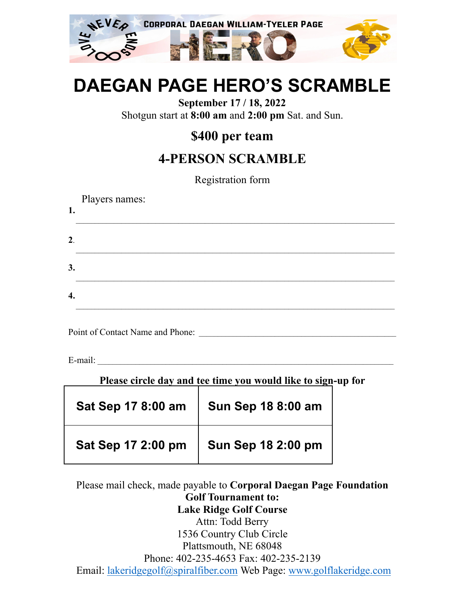

# **DAEGAN PAGE HERO'S SCRAMBLE**

**September 17 / 18, 2022** Shotgun start at **8:00 am** and **2:00 pm** Sat. and Sun.

#### **\$400 per team**

### **4-PERSON SCRAMBLE**

Registration form

| 1. | Players names: |
|----|----------------|
| 2. |                |
| 3. |                |
| 4. |                |

Point of Contact Name and Phone:

 $E$ -mail:  $\Box$ 

| Please circle day and tee time you would like to sign-up for |                           |  |  |
|--------------------------------------------------------------|---------------------------|--|--|
| Sat Sep 17 8:00 am                                           | Sun Sep 18 8:00 am        |  |  |
| Sat Sep 17 2:00 pm                                           | <b>Sun Sep 18 2:00 pm</b> |  |  |

#### Please mail check, made payable to **Corporal Daegan Page Foundation Golf Tournament to: Lake Ridge Golf Course** Attn: Todd Berry 1536 Country Club Circle Plattsmouth, NE 68048 Phone: 402-235-4653 Fax: 402-235-2139

Email: [lakeridgegolf@spiralfiber.com](mailto:lakeridgegolf@spiralfiber.com) Web Page: [www.golflakeridge.com](http://www.golflakeridge.com)